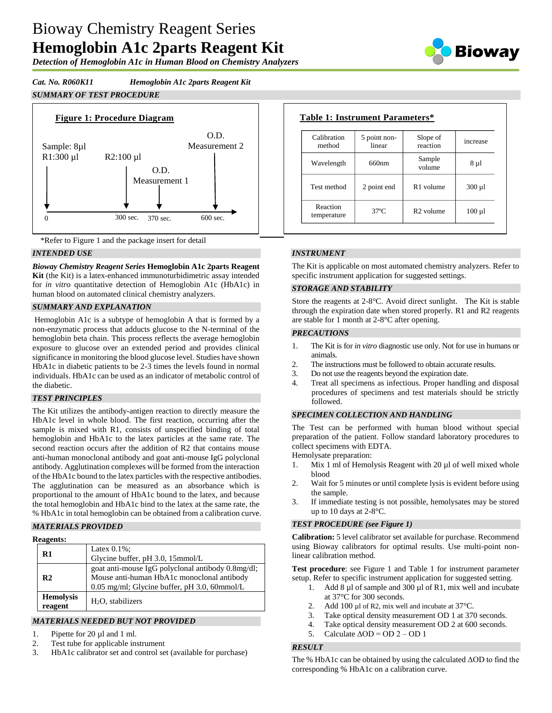# Bioway Chemistry Reagent Series **Hemoglobin A1c 2parts Reagent Kit**

*Detection of Hemoglobin A1c in Human Blood on Chemistry Analyzers*



## *Cat. No. R060K11 Hemoglobin A1c 2parts Reagent Kit*

# *SUMMARY OF TEST PROCEDURE*



\*Refer to Figure 1 and the package insert for detail

## *INTENDED USE*

*Bioway Chemistry Reagent Series* **Hemoglobin A1c 2parts Reagent Kit** (the Kit) is a latex-enhanced immunoturbidimetric assay intended for *in vitro* quantitative detection of Hemoglobin A1c (HbA1c) in human blood on automated clinical chemistry analyzers.

#### *SUMMARY AND EXPLANATION*

Hemoglobin A1c is a subtype of hemoglobin A that is formed by a non-enzymatic process that adducts glucose to the N-terminal of the hemoglobin beta chain. This process reflects the average hemoglobin exposure to glucose over an extended period and provides clinical significance in monitoring the blood glucose level. Studies have shown HbA1c in diabetic patients to be 2-3 times the levels found in normal individuals. HbA1c can be used as an indicator of metabolic control of the diabetic.

#### *TEST PRINCIPLES*

The Kit utilizes the antibody-antigen reaction to directly measure the HbA1c level in whole blood. The first reaction, occurring after the sample is mixed with R1, consists of unspecified binding of total hemoglobin and HbA1c to the latex particles at the same rate. The second reaction occurs after the addition of R2 that contains mouse anti-human monoclonal antibody and goat anti-mouse IgG polyclonal antibody. Agglutination complexes will be formed from the interaction of the HbA1c bound to the latex particles with the respective antibodies. The agglutination can be measured as an absorbance which is proportional to the amount of HbA1c bound to the latex, and because the total hemoglobin and HbA1c bind to the latex at the same rate, the % HbA1c in total hemoglobin can be obtained from a calibration curve.

#### *MATERIALS PROVIDED*

| <b>Reagents:</b> |
|------------------|
|------------------|

| R1                          | Latex $0.1\%$ ;<br>Glycine buffer, pH 3.0, 15mmol/L                                                                                             |
|-----------------------------|-------------------------------------------------------------------------------------------------------------------------------------------------|
| R <sub>2</sub>              | goat anti-mouse IgG polyclonal antibody 0.8mg/dl;<br>Mouse anti-human HbA1c monoclonal antibody<br>0.05 mg/ml; Glycine buffer, pH 3.0, 60mmol/L |
| <b>Hemolysis</b><br>reagent | $H2O$ , stabilizers                                                                                                                             |

# *MATERIALS NEEDED BUT NOT PROVIDED*

- 1. Pipette for 20 µl and 1 ml.
- 2. Test tube for applicable instrument
- 3. HbA1c calibrator set and control set (available for purchase)

| Calibration<br>method   | 5 point non-<br>linear | Slope of<br>reaction  | increase    |
|-------------------------|------------------------|-----------------------|-------------|
| Wavelength              | 660nm                  | Sample<br>volume      | $8 \mu l$   |
| Test method             | 2 point end            | R <sub>1</sub> volume | $300 \mu l$ |
| Reaction<br>temperature | $37^\circ$ C           | $R2$ volume           | $100 \mu l$ |

## *INSTRUMENT*

The Kit is applicable on most automated chemistry analyzers. Refer to specific instrument application for suggested settings.

#### *STORAGE AND STABILITY*

Store the reagents at 2-8°C. Avoid direct sunlight. The Kit is stable through the expiration date when stored properly. R1 and R2 reagents are stable for 1 month at 2-8°C after opening.

#### *PRECAUTIONS*

- 1. The Kit is for *in vitro* diagnostic use only. Not for use in humans or animals.
- 2. The instructions must be followed to obtain accurate results.
- 3. Do not use the reagents beyond the expiration date.
- 4. Treat all specimens as infectious. Proper handling and disposal procedures of specimens and test materials should be strictly followed.

#### *SPECIMEN COLLECTION AND HANDLING*

The Test can be performed with human blood without special preparation of the patient. Follow standard laboratory procedures to collect specimens with EDTA.

Hemolysate preparation:

- 1. Mix 1 ml of Hemolysis Reagent with 20 µl of well mixed whole blood
- 2. Wait for 5 minutes or until complete lysis is evident before using the sample.
- 3. If immediate testing is not possible, hemolysates may be stored up to 10 days at 2-8°C.

#### *TEST PROCEDURE (see Figure 1)*

**Calibration:** 5 level calibrator set available for purchase. Recommend using Bioway calibrators for optimal results. Use multi-point nonlinear calibration method.

**Test procedure**: see Figure 1 and Table 1 for instrument parameter setup. Refer to specific instrument application for suggested setting.

- 1. Add 8 µl of sample and 300 µl of R1, mix well and incubate at 37°C for 300 seconds.
- 2. Add 100 µl of R2, mix well and incubate at 37 °C.
- 3. Take optical density measurement OD 1 at 370 seconds.
- 4. Take optical density measurement OD 2 at 600 seconds.
- 5. Calculate  $\triangle$ OD = OD 2 OD 1

# *RESULT*

The % HbA1c can be obtained by using the calculated ΔOD to find the corresponding % HbA1c on a calibration curve.